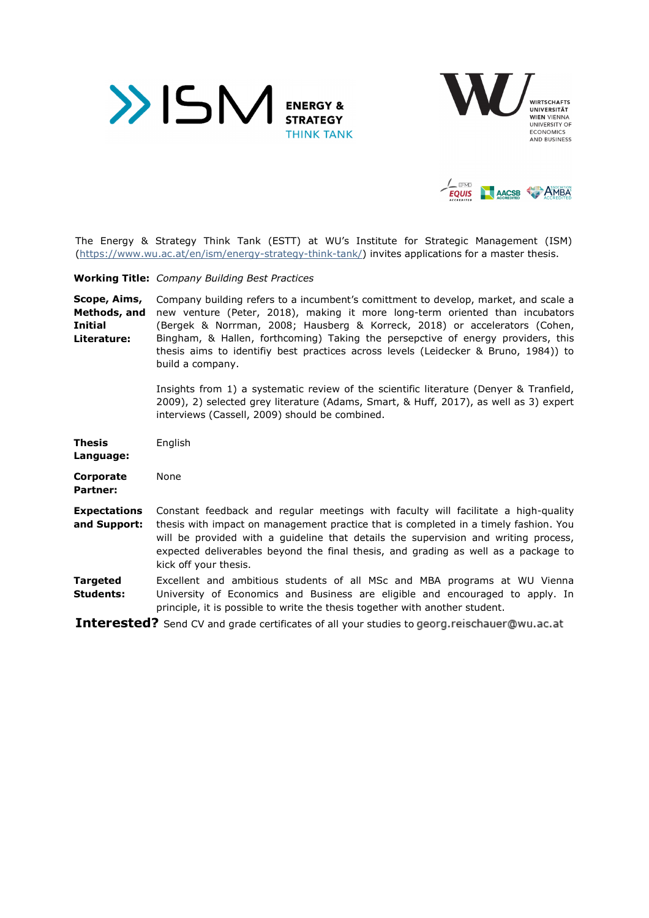





The Energy & Strategy Think Tank (ESTT) at WU's Institute for Strategic Management (ISM) (https://www.wu.ac.at/en/ism/energy-strategy-think-tank/) invites applications for a master thesis.

**Working Title:** *Company Building Best Practices* 

**Scope, Aims, Methods, and Initial Literature:**  Company building refers to a incumbent's comittment to develop, market, and scale a new venture (Peter, 2018), making it more long-term oriented than incubators (Bergek & Norrman, 2008; Hausberg & Korreck, 2018) or accelerators (Cohen, Bingham, & Hallen, forthcoming) Taking the persepctive of energy providers, this thesis aims to identifiy best practices across levels (Leidecker & Bruno, 1984)) to build a company.

> Insights from 1) a systematic review of the scientific literature (Denyer & Tranfield, 2009), 2) selected grey literature (Adams, Smart, & Huff, 2017), as well as 3) expert interviews (Cassell, 2009) should be combined.

| Thesis<br>Language:                 | English                                                                                                                                                                                                                                                                                                                                                                          |
|-------------------------------------|----------------------------------------------------------------------------------------------------------------------------------------------------------------------------------------------------------------------------------------------------------------------------------------------------------------------------------------------------------------------------------|
| Corporate<br>Partner:               | None                                                                                                                                                                                                                                                                                                                                                                             |
| <b>Expectations</b><br>and Support: | Constant feedback and regular meetings with faculty will facilitate a high-quality<br>thesis with impact on management practice that is completed in a timely fashion. You<br>will be provided with a quideline that details the supervision and writing process,<br>expected deliverables beyond the final thesis, and grading as well as a package to<br>kick off your thesis. |
| Targeted<br>Students:               | Excellent and ambitious students of all MSc and MBA programs at WU Vienna<br>University of Economics and Business are eligible and encouraged to apply. In<br>principle, it is possible to write the thesis together with another student.                                                                                                                                       |

**Interested?** Send CV and grade certificates of all your studies to